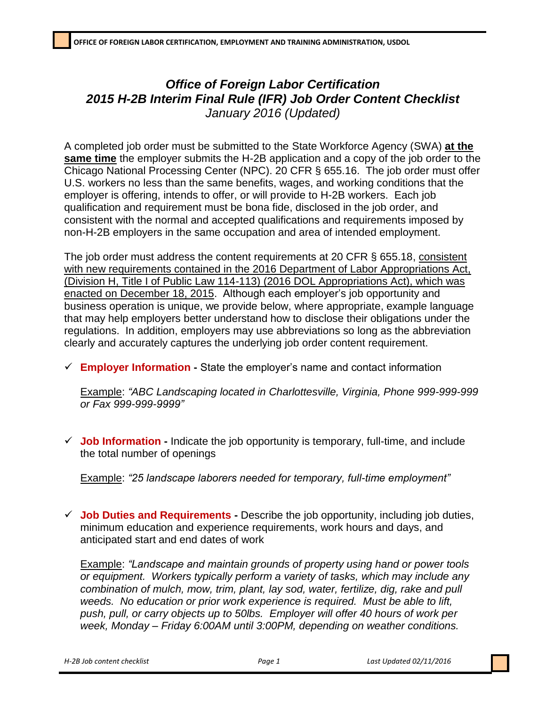## *Office of Foreign Labor Certification 2015 H-2B Interim Final Rule (IFR) Job Order Content Checklist January 2016 (Updated)*

A completed job order must be submitted to the State Workforce Agency (SWA) **at the same time** the employer submits the H-2B application and a copy of the job order to the Chicago National Processing Center (NPC). 20 CFR § 655.16. The job order must offer U.S. workers no less than the same benefits, wages, and working conditions that the employer is offering, intends to offer, or will provide to H-2B workers. Each job qualification and requirement must be bona fide, disclosed in the job order, and consistent with the normal and accepted qualifications and requirements imposed by non-H-2B employers in the same occupation and area of intended employment.

The job order must address the content requirements at 20 CFR § 655.18, consistent with new requirements contained in the 2016 Department of Labor Appropriations Act, (Division H, Title I of Public Law 114-113) (2016 DOL Appropriations Act), which was enacted on December 18, 2015. Although each employer's job opportunity and business operation is unique, we provide below, where appropriate, example language that may help employers better understand how to disclose their obligations under the regulations. In addition, employers may use abbreviations so long as the abbreviation clearly and accurately captures the underlying job order content requirement.

**Employer Information -** State the employer's name and contact information

Example: *"ABC Landscaping located in Charlottesville, Virginia, Phone 999-999-999 or Fax 999-999-9999"*

 **Job Information -** Indicate the job opportunity is temporary, full-time, and include the total number of openings

Example: *"25 landscape laborers needed for temporary, full-time employment"*

 **Job Duties and Requirements -** Describe the job opportunity, including job duties, minimum education and experience requirements, work hours and days, and anticipated start and end dates of work

Example: *"Landscape and maintain grounds of property using hand or power tools or equipment. Workers typically perform a variety of tasks, which may include any combination of mulch, mow, trim, plant, lay sod, water, fertilize, dig, rake and pull weeds. No education or prior work experience is required. Must be able to lift, push, pull, or carry objects up to 50lbs. Employer will offer 40 hours of work per week, Monday – Friday 6:00AM until 3:00PM, depending on weather conditions.*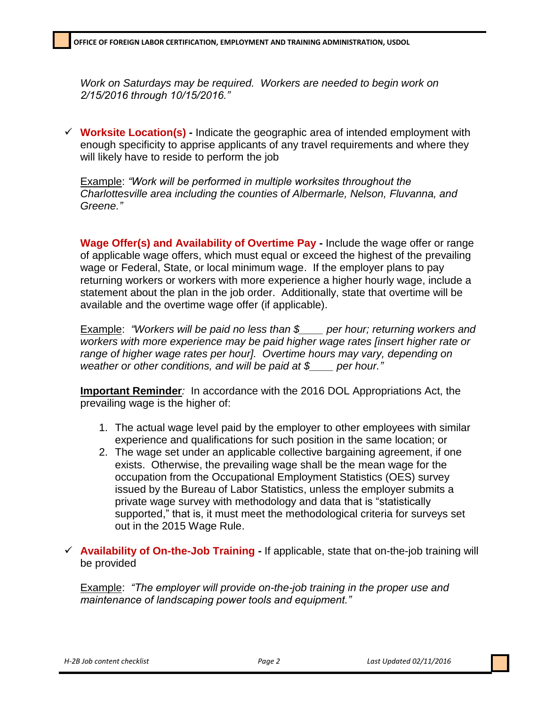*Work on Saturdays may be required. Workers are needed to begin work on 2/15/2016 through 10/15/2016."*

 **Worksite Location(s) -** Indicate the geographic area of intended employment with enough specificity to apprise applicants of any travel requirements and where they will likely have to reside to perform the job

Example: *"Work will be performed in multiple worksites throughout the Charlottesville area including the counties of Albermarle, Nelson, Fluvanna, and Greene."*

**Wage Offer(s) and Availability of Overtime Pay -** Include the wage offer or range of applicable wage offers, which must equal or exceed the highest of the prevailing wage or Federal, State, or local minimum wage. If the employer plans to pay returning workers or workers with more experience a higher hourly wage, include a statement about the plan in the job order. Additionally, state that overtime will be available and the overtime wage offer (if applicable).

Example: *"Workers will be paid no less than \$\_\_\_\_ per hour; returning workers and workers with more experience may be paid higher wage rates [insert higher rate or range of higher wage rates per hour]. Overtime hours may vary, depending on weather or other conditions, and will be paid at \$\_\_\_\_ per hour."*

**Important Reminder***:* In accordance with the 2016 DOL Appropriations Act, the prevailing wage is the higher of:

- 1. The actual wage level paid by the employer to other employees with similar experience and qualifications for such position in the same location; or
- 2. The wage set under an applicable collective bargaining agreement, if one exists. Otherwise, the prevailing wage shall be the mean wage for the occupation from the Occupational Employment Statistics (OES) survey issued by the Bureau of Labor Statistics, unless the employer submits a private wage survey with methodology and data that is "statistically supported," that is, it must meet the methodological criteria for surveys set out in the 2015 Wage Rule.
- **Availability of On-the-Job Training -** If applicable, state that on-the-job training will be provided

Example: *"The employer will provide on-the-job training in the proper use and maintenance of landscaping power tools and equipment."*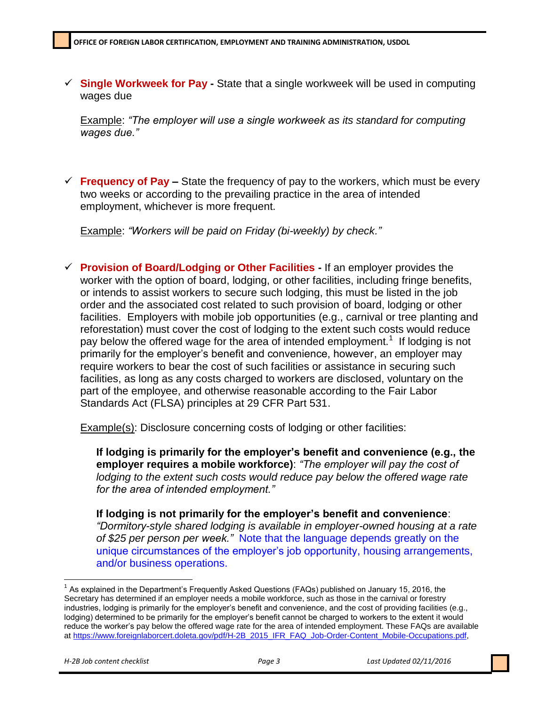**Single Workweek for Pay -** State that a single workweek will be used in computing wages due

Example: *"The employer will use a single workweek as its standard for computing wages due."*

 **Frequency of Pay –** State the frequency of pay to the workers, which must be every two weeks or according to the prevailing practice in the area of intended employment, whichever is more frequent.

Example: *"Workers will be paid on Friday (bi-weekly) by check."*

 **Provision of Board/Lodging or Other Facilities -** If an employer provides the worker with the option of board, lodging, or other facilities, including fringe benefits, or intends to assist workers to secure such lodging, this must be listed in the job order and the associated cost related to such provision of board, lodging or other facilities. Employers with mobile job opportunities (e.g., carnival or tree planting and reforestation) must cover the cost of lodging to the extent such costs would reduce pay below the offered wage for the area of intended employment.<sup>1</sup> If lodging is not primarily for the employer's benefit and convenience, however, an employer may require workers to bear the cost of such facilities or assistance in securing such facilities, as long as any costs charged to workers are disclosed, voluntary on the part of the employee, and otherwise reasonable according to the Fair Labor Standards Act (FLSA) principles at 29 CFR Part 531.

Example(s): Disclosure concerning costs of lodging or other facilities:

**If lodging is primarily for the employer's benefit and convenience (e.g., the employer requires a mobile workforce)**: *"The employer will pay the cost of lodging to the extent such costs would reduce pay below the offered wage rate for the area of intended employment."*

**If lodging is not primarily for the employer's benefit and convenience**: *"Dormitory-style shared lodging is available in employer-owned housing at a rate of \$25 per person per week."* Note that the language depends greatly on the unique circumstances of the employer's job opportunity, housing arrangements, and/or business operations.

 $\overline{a}$ 

<sup>&</sup>lt;sup>1</sup> As explained in the Department's Frequently Asked Questions (FAQs) published on January 15, 2016, the Secretary has determined if an employer needs a mobile workforce, such as those in the carnival or forestry industries, lodging is primarily for the employer's benefit and convenience, and the cost of providing facilities (e.g., lodging) determined to be primarily for the employer's benefit cannot be charged to workers to the extent it would reduce the worker's pay below the offered wage rate for the area of intended employment. These FAQs are available at [https://www.foreignlaborcert.doleta.gov/pdf/H-2B\\_2015\\_IFR\\_FAQ\\_Job-Order-Content\\_Mobile-Occupations.pdf,](https://www.foreignlaborcert.doleta.gov/pdf/H-2B_2015_IFR_FAQ_Job-Order-Content_Mobile-Occupations.pdf)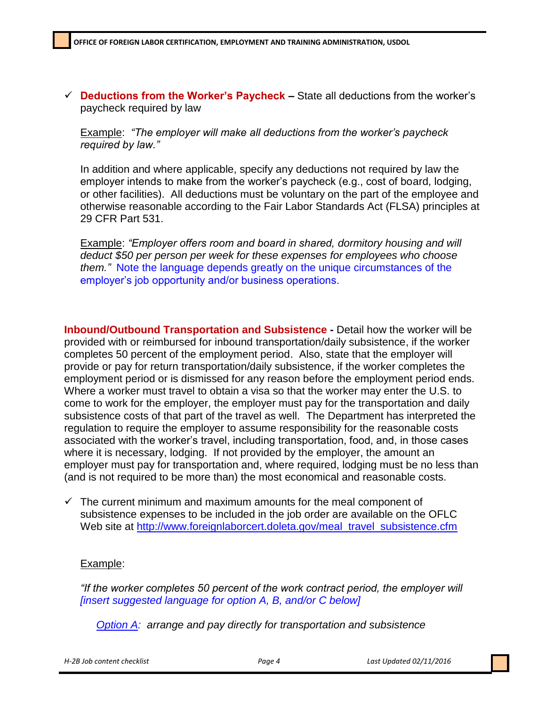**Deductions from the Worker's Paycheck –** State all deductions from the worker's paycheck required by law

Example: *"The employer will make all deductions from the worker's paycheck required by law."*

In addition and where applicable, specify any deductions not required by law the employer intends to make from the worker's paycheck (e.g., cost of board, lodging, or other facilities). All deductions must be voluntary on the part of the employee and otherwise reasonable according to the Fair Labor Standards Act (FLSA) principles at 29 CFR Part 531.

Example: *"Employer offers room and board in shared, dormitory housing and will deduct \$50 per person per week for these expenses for employees who choose them."* Note the language depends greatly on the unique circumstances of the employer's job opportunity and/or business operations.

**Inbound/Outbound Transportation and Subsistence -** Detail how the worker will be provided with or reimbursed for inbound transportation/daily subsistence, if the worker completes 50 percent of the employment period. Also, state that the employer will provide or pay for return transportation/daily subsistence, if the worker completes the employment period or is dismissed for any reason before the employment period ends. Where a worker must travel to obtain a visa so that the worker may enter the U.S. to come to work for the employer, the employer must pay for the transportation and daily subsistence costs of that part of the travel as well. The Department has interpreted the regulation to require the employer to assume responsibility for the reasonable costs associated with the worker's travel, including transportation, food, and, in those cases where it is necessary, lodging. If not provided by the employer, the amount an employer must pay for transportation and, where required, lodging must be no less than (and is not required to be more than) the most economical and reasonable costs.

 $\checkmark$  The current minimum and maximum amounts for the meal component of subsistence expenses to be included in the job order are available on the OFLC Web site at [http://www.foreignlaborcert.doleta.gov/meal\\_travel\\_subsistence.cfm](http://www.foreignlaborcert.doleta.gov/meal_travel_subsistence.cfm)

## Example:

*"If the worker completes 50 percent of the work contract period, the employer will [insert suggested language for option A, B, and/or C below]*

*Option A: arrange and pay directly for transportation and subsistence* 

*H-2B Job content checklist Page 4 Last Updated 02/11/2016*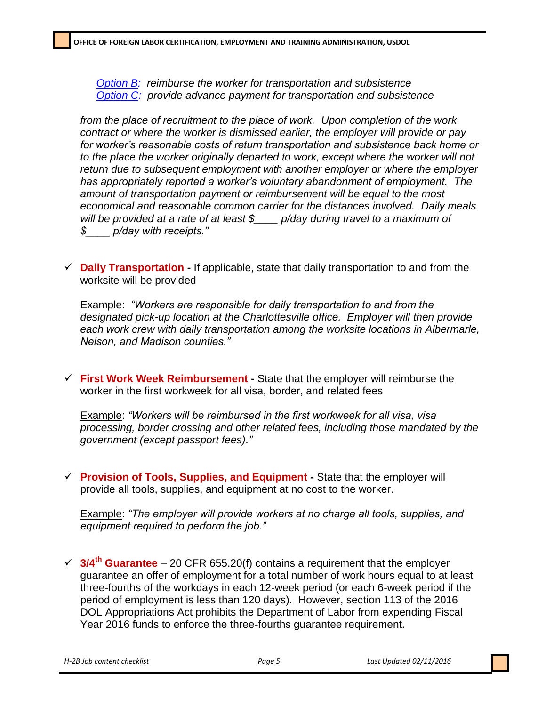*Option B: reimburse the worker for transportation and subsistence Option C: provide advance payment for transportation and subsistence*

*from the place of recruitment to the place of work. Upon completion of the work contract or where the worker is dismissed earlier, the employer will provide or pay for worker's reasonable costs of return transportation and subsistence back home or*  to the place the worker originally departed to work, except where the worker will not *return due to subsequent employment with another employer or where the employer has appropriately reported a worker's voluntary abandonment of employment. The amount of transportation payment or reimbursement will be equal to the most economical and reasonable common carrier for the distances involved. Daily meals will be provided at a rate of at least \$\_\_\_\_ p/day during travel to a maximum of \$\_\_\_\_ p/day with receipts."*

 **Daily Transportation -** If applicable, state that daily transportation to and from the worksite will be provided

Example: *"Workers are responsible for daily transportation to and from the designated pick-up location at the Charlottesville office. Employer will then provide each work crew with daily transportation among the worksite locations in Albermarle, Nelson, and Madison counties."*

 **First Work Week Reimbursement -** State that the employer will reimburse the worker in the first workweek for all visa, border, and related fees

Example: *"Workers will be reimbursed in the first workweek for all visa, visa processing, border crossing and other related fees, including those mandated by the government (except passport fees)."*

 **Provision of Tools, Supplies, and Equipment -** State that the employer will provide all tools, supplies, and equipment at no cost to the worker.

Example: *"The employer will provide workers at no charge all tools, supplies, and equipment required to perform the job."*

 **3/4th Guarantee** – 20 CFR 655.20(f) contains a requirement that the employer guarantee an offer of employment for a total number of work hours equal to at least three-fourths of the workdays in each 12-week period (or each 6-week period if the period of employment is less than 120 days). However, section 113 of the 2016 DOL Appropriations Act prohibits the Department of Labor from expending Fiscal Year 2016 funds to enforce the three-fourths guarantee requirement.